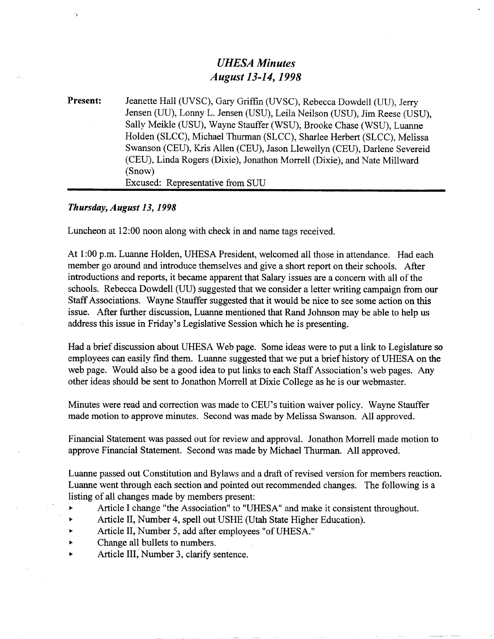## *UHESA Minutes August 13-14,1998*

Present: Jeanette Hall (UVSC), Gary Griffin (UVSC), Rebecca Dowdell (UU), Jerry Jensen (UU), Lonny L. Jensen (USU), Leila Neilson (USU), Jim Reese (USU), Sally Meikle (USU), Wayne Stauffer (WSU), Brooke Chase (WSU), Luanne Holden (SLCC), Michael Thurman (SLCC), Sharlee Herbert (SLCC), Melissa Swanson (CEU), Kris Allen (CEU), Jason Llewellyn (CEU), Darlene Severeid (CEU), Linda Rogers (Dixie), Jonathon Morrell (Dixie), and Nate Millward (Snow) Excused: Representative from SUU

## *Thursday, August 13,1998*

Luncheon at 12:00 noon along with check in and name tags received.

At 1:00 p.m. Luanne Holden, UHESA President, welcomed all those in attendance. Had each member go around and introduce themselves and give a short report on their schools. After introductions and reports, it became apparent that Salary issues are a concern with all of the schools. Rebecca Dowdell (UU) suggested that we consider a letter writing campaign from our Staff Associations. Wayne Stauffer suggested that it would be nice to see some action on this issue. After further discussion, Luanne mentioned that Rand Johnson may be able to help us address this issue in Friday's Legislative Session which he is presenting.

Had a brief discussion about UHESA Web page. Some ideas were to put a link to Legislature so employees can easily find them. Luanne suggested that we put a brief history of UHESA on the web page. Would also be a good idea to put links to each Staff Association's web pages. Any other ideas should be sent to Jonathon Morrell at Dixie College as he is our webmaster.

Minutes were read and correction was made to CEU's tuition waiver policy. Wayne Stauffer made motion to approve minutes. Second was made by Melissa Swanson. All approved.

Financial Statement was passed out for review and approval. Jonathon Morrell made motion to approve Financial Statement. Second was made by Michael Thurman. All approved.

Luanne passed out Constitution and Bylaws and a draft of revised version for members reaction. Luanne went through each section and pointed out recommended changes. The following is a listing of all changes made by members present:

- > Article I change "the Association" to "UHESA" and make it consistent throughout.
- *<sup>&</sup>gt;* Article II, Number 4, spell out USHE (Utah State Higher Education).
- *<sup>&</sup>gt;* Article II, Number 5, add after employees "of UHESA."
- Change all bullets to numbers.
- Article III, Number 3, clarify sentence.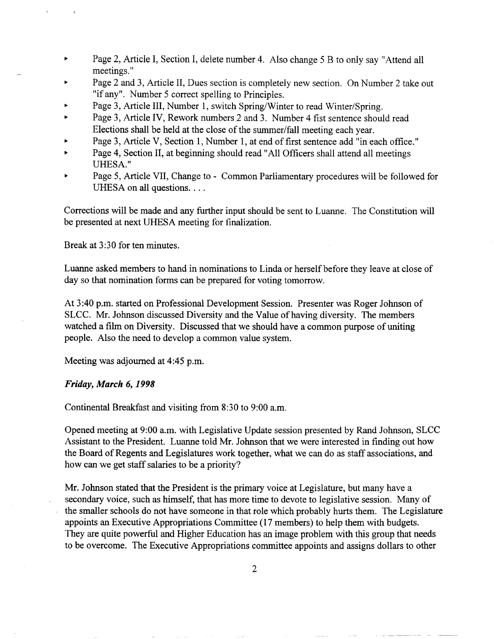- *<sup>&</sup>gt;* Page 2, Article I, Section I, delete number 4. Also change 5 B to only say "Attend all meetings."
- Page 2 and 3, Article II, Dues section is completely new section. On Number 2 take out "if any". Number 5 correct spelling to Principles.
- Page 3, Article III, Number 1, switch Spring/Winter to read Winter/Spring.
- Page 3, Article IV, Rework numbers 2 and 3. Number 4 fist sentence should read Elections shall be held at the close of the summer/fall meeting each year.
- Page 3, Article V, Section 1, Number 1, at end of first sentence add "in each office."
- Page 4, Section II, at beginning should read "All Officers shall attend all meetings UHESA."
- Page 5, Article VII, Change to Common Parliamentary procedures will be followed for UHESA on all questions. . . .

Corrections will be made and any further input should be sent to Luanne. The Constitution will be presented at next UHESA meeting for finalization.

Break at 3:30 for ten minutes.

Luanne asked members to hand in nominations to Linda or herself before they leave at close of day so that nomination forms can be prepared for voting tomorrow.

At 3:40 p.m. started on Professional Development Session. Presenter was Roger Johnson of SLCC. Mr. Johnson discussed Diversity and the Value of having diversity. The members watched a film on Diversity. Discussed that we should have a common purpose of uniting people. Also the need to develop a common value system.

Meeting was adjourned at 4:45 p.m.

## *Friday, March 6,1998*

Continental Breakfast and visiting from 8:30 to 9:00 a.m.

Opened meeting at 9:00 a.m. with Legislative Update session presented by Rand Johnson, SLCC Assistant to the President. Luanne told Mr. Johnson that we were interested in finding out how the Board of Regents and Legislatures work together, what we can do as staff associations, and how can we get staff salaries to be a priority?

Mr. Johnson stated that the President is the primary voice at Legislature, but many have a secondary voice, such as himself, that has more time to devote to legislative session. Many of the smaller schools do not have someone in that role which probably hurts them. The Legislature appoints an Executive Appropriations Committee (17 members) to help them with budgets. They are quite powerful and Higher Education has an image problem with this group that needs to be overcome. The Executive Appropriations committee appoints and assigns dollars to other

 $\overline{2}$